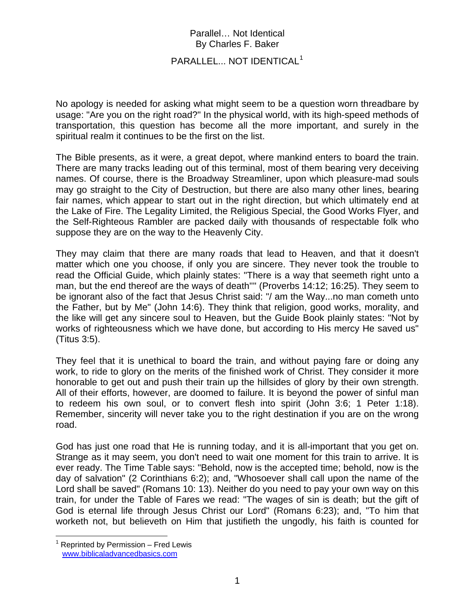### PARALLEL... NOT IDENTICAL<sup>[1](#page-0-0)</sup>

No apology is needed for asking what might seem to be a question worn threadbare by usage: "Are you on the right road?" In the physical world, with its high-speed methods of transportation, this question has become all the more important, and surely in the spiritual realm it continues to be the first on the list.

The Bible presents, as it were, a great depot, where mankind enters to board the train. There are many tracks leading out of this terminal, most of them bearing very deceiving names. Of course, there is the Broadway Streamliner, upon which pleasure-mad souls may go straight to the City of Destruction, but there are also many other lines, bearing fair names, which appear to start out in the right direction, but which ultimately end at the Lake of Fire. The Legality Limited, the Religious Special, the Good Works Flyer, and the Self-Righteous Rambler are packed daily with thousands of respectable folk who suppose they are on the way to the Heavenly City.

They may claim that there are many roads that lead to Heaven, and that it doesn't matter which one you choose, if only you are sincere. They never took the trouble to read the Official Guide, which plainly states: "There is a way that seemeth right unto a man, but the end thereof are the ways of death'''' (Proverbs 14:12; 16:25). They seem to be ignorant also of the fact that Jesus Christ said: "/ am the Way...no man cometh unto the Father, but by Me" (John 14:6). They think that religion, good works, morality, and the like will get any sincere soul to Heaven, but the Guide Book plainly states: "Not by works of righteousness which we have done, but according to His mercy He saved us" (Titus 3:5).

They feel that it is unethical to board the train, and without paying fare or doing any work, to ride to glory on the merits of the finished work of Christ. They consider it more honorable to get out and push their train up the hillsides of glory by their own strength. All of their efforts, however, are doomed to failure. It is beyond the power of sinful man to redeem his own soul, or to convert flesh into spirit (John 3:6; 1 Peter 1:18). Remember, sincerity will never take you to the right destination if you are on the wrong road.

God has just one road that He is running today, and it is all-important that you get on. Strange as it may seem, you don't need to wait one moment for this train to arrive. It is ever ready. The Time Table says: "Behold, now is the accepted time; behold, now is the day of salvation" (2 Corinthians 6:2); and, "Whosoever shall call upon the name of the Lord shall be saved" (Romans 10: 13). Neither do you need to pay your own way on this train, for under the Table of Fares we read: "The wages of sin is death; but the gift of God is eternal life through Jesus Christ our Lord" (Romans 6:23); and, "To him that worketh not, but believeth on Him that justifieth the ungodly, his faith is counted for

<span id="page-0-0"></span> $\overline{a}$ <sup>1</sup> Reprinted by Permission – Fred Lewis [www.biblicaladvancedbasics.com](http://www.biblicaladvancedbasics.com/)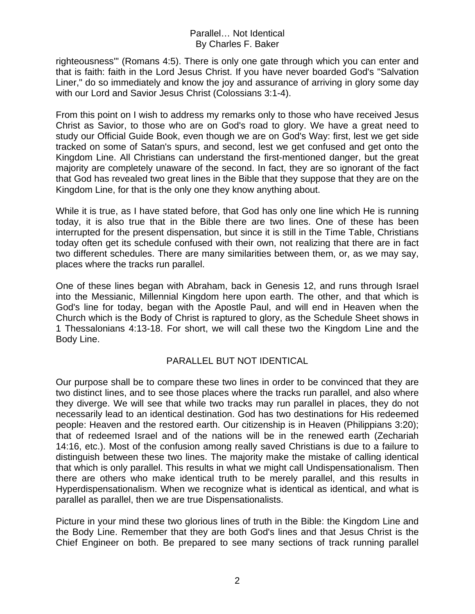righteousness'" (Romans 4:5). There is only one gate through which you can enter and that is faith: faith in the Lord Jesus Christ. If you have never boarded God's "Salvation Liner," do so immediately and know the joy and assurance of arriving in glory some day with our Lord and Savior Jesus Christ (Colossians 3:1-4).

From this point on I wish to address my remarks only to those who have received Jesus Christ as Savior, to those who are on God's road to glory. We have a great need to study our Official Guide Book, even though we are on God's Way: first, lest we get side tracked on some of Satan's spurs, and second, lest we get confused and get onto the Kingdom Line. All Christians can understand the first-mentioned danger, but the great majority are completely unaware of the second. In fact, they are so ignorant of the fact that God has revealed two great lines in the Bible that they suppose that they are on the Kingdom Line, for that is the only one they know anything about.

While it is true, as I have stated before, that God has only one line which He is running today, it is also true that in the Bible there are two lines. One of these has been interrupted for the present dispensation, but since it is still in the Time Table, Christians today often get its schedule confused with their own, not realizing that there are in fact two different schedules. There are many similarities between them, or, as we may say, places where the tracks run parallel.

One of these lines began with Abraham, back in Genesis 12, and runs through Israel into the Messianic, Millennial Kingdom here upon earth. The other, and that which is God's line for today, began with the Apostle Paul, and will end in Heaven when the Church which is the Body of Christ is raptured to glory, as the Schedule Sheet shows in 1 Thessalonians 4:13-18. For short, we will call these two the Kingdom Line and the Body Line.

### PARALLEL BUT NOT IDENTICAL

Our purpose shall be to compare these two lines in order to be convinced that they are two distinct lines, and to see those places where the tracks run parallel, and also where they diverge. We will see that while two tracks may run parallel in places, they do not necessarily lead to an identical destination. God has two destinations for His redeemed people: Heaven and the restored earth. Our citizenship is in Heaven (Philippians 3:20); that of redeemed Israel and of the nations will be in the renewed earth (Zechariah 14:16, etc.). Most of the confusion among really saved Christians is due to a failure to distinguish between these two lines. The majority make the mistake of calling identical that which is only parallel. This results in what we might call Undispensationalism. Then there are others who make identical truth to be merely parallel, and this results in Hyperdispensationalism. When we recognize what is identical as identical, and what is parallel as parallel, then we are true Dispensationalists.

Picture in your mind these two glorious lines of truth in the Bible: the Kingdom Line and the Body Line. Remember that they are both God's lines and that Jesus Christ is the Chief Engineer on both. Be prepared to see many sections of track running parallel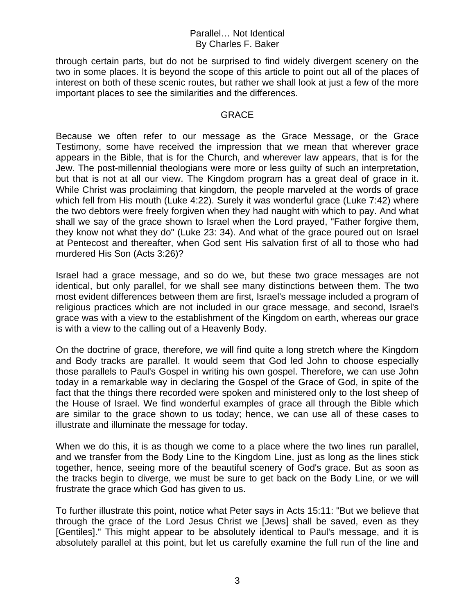through certain parts, but do not be surprised to find widely divergent scenery on the two in some places. It is beyond the scope of this article to point out all of the places of interest on both of these scenic routes, but rather we shall look at just a few of the more important places to see the similarities and the differences.

### GRACE

Because we often refer to our message as the Grace Message, or the Grace Testimony, some have received the impression that we mean that wherever grace appears in the Bible, that is for the Church, and wherever law appears, that is for the Jew. The post-millennial theologians were more or less guilty of such an interpretation, but that is not at all our view. The Kingdom program has a great deal of grace in it. While Christ was proclaiming that kingdom, the people marveled at the words of grace which fell from His mouth (Luke 4:22). Surely it was wonderful grace (Luke 7:42) where the two debtors were freely forgiven when they had naught with which to pay. And what shall we say of the grace shown to Israel when the Lord prayed, "Father forgive them, they know not what they do" (Luke 23: 34). And what of the grace poured out on Israel at Pentecost and thereafter, when God sent His salvation first of all to those who had murdered His Son (Acts 3:26)?

Israel had a grace message, and so do we, but these two grace messages are not identical, but only parallel, for we shall see many distinctions between them. The two most evident differences between them are first, Israel's message included a program of religious practices which are not included in our grace message, and second, Israel's grace was with a view to the establishment of the Kingdom on earth, whereas our grace is with a view to the calling out of a Heavenly Body.

On the doctrine of grace, therefore, we will find quite a long stretch where the Kingdom and Body tracks are parallel. It would seem that God led John to choose especially those parallels to Paul's Gospel in writing his own gospel. Therefore, we can use John today in a remarkable way in declaring the Gospel of the Grace of God, in spite of the fact that the things there recorded were spoken and ministered only to the lost sheep of the House of Israel. We find wonderful examples of grace all through the Bible which are similar to the grace shown to us today; hence, we can use all of these cases to illustrate and illuminate the message for today.

When we do this, it is as though we come to a place where the two lines run parallel, and we transfer from the Body Line to the Kingdom Line, just as long as the lines stick together, hence, seeing more of the beautiful scenery of God's grace. But as soon as the tracks begin to diverge, we must be sure to get back on the Body Line, or we will frustrate the grace which God has given to us.

To further illustrate this point, notice what Peter says in Acts 15:11: "But we believe that through the grace of the Lord Jesus Christ we [Jews] shall be saved, even as they [Gentiles]." This might appear to be absolutely identical to Paul's message, and it is absolutely parallel at this point, but let us carefully examine the full run of the line and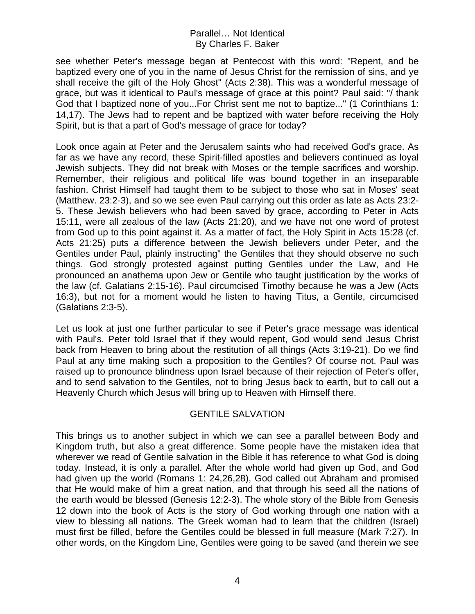see whether Peter's message began at Pentecost with this word: "Repent, and be baptized every one of you in the name of Jesus Christ for the remission of sins, and ye shall receive the gift of the Holy Ghost" (Acts 2:38). This was a wonderful message of grace, but was it identical to Paul's message of grace at this point? Paul said: "/ thank God that I baptized none of you...For Christ sent me not to baptize..." (1 Corinthians 1: 14,17). The Jews had to repent and be baptized with water before receiving the Holy Spirit, but is that a part of God's message of grace for today?

Look once again at Peter and the Jerusalem saints who had received God's grace. As far as we have any record, these Spirit-filled apostles and believers continued as loyal Jewish subjects. They did not break with Moses or the temple sacrifices and worship. Remember, their religious and political life was bound together in an inseparable fashion. Christ Himself had taught them to be subject to those who sat in Moses' seat (Matthew. 23:2-3), and so we see even Paul carrying out this order as late as Acts 23:2- 5. These Jewish believers who had been saved by grace, according to Peter in Acts 15:11, were all zealous of the law (Acts 21:20), and we have not one word of protest from God up to this point against it. As a matter of fact, the Holy Spirit in Acts 15:28 (cf. Acts 21:25) puts a difference between the Jewish believers under Peter, and the Gentiles under Paul, plainly instructing" the Gentiles that they should observe no such things. God strongly protested against putting Gentiles under the Law, and He pronounced an anathema upon Jew or Gentile who taught justification by the works of the law (cf. Galatians 2:15-16). Paul circumcised Timothy because he was a Jew (Acts 16:3), but not for a moment would he listen to having Titus, a Gentile, circumcised (Galatians 2:3-5).

Let us look at just one further particular to see if Peter's grace message was identical with Paul's. Peter told Israel that if they would repent, God would send Jesus Christ back from Heaven to bring about the restitution of all things (Acts 3:19-21). Do we find Paul at any time making such a proposition to the Gentiles? Of course not. Paul was raised up to pronounce blindness upon Israel because of their rejection of Peter's offer, and to send salvation to the Gentiles, not to bring Jesus back to earth, but to call out a Heavenly Church which Jesus will bring up to Heaven with Himself there.

# GENTILE SALVATION

This brings us to another subject in which we can see a parallel between Body and Kingdom truth, but also a great difference. Some people have the mistaken idea that wherever we read of Gentile salvation in the Bible it has reference to what God is doing today. Instead, it is only a parallel. After the whole world had given up God, and God had given up the world (Romans 1: 24,26,28), God called out Abraham and promised that He would make of him a great nation, and that through his seed all the nations of the earth would be blessed (Genesis 12:2-3). The whole story of the Bible from Genesis 12 down into the book of Acts is the story of God working through one nation with a view to blessing all nations. The Greek woman had to learn that the children (Israel) must first be filled, before the Gentiles could be blessed in full measure (Mark 7:27). In other words, on the Kingdom Line, Gentiles were going to be saved (and therein we see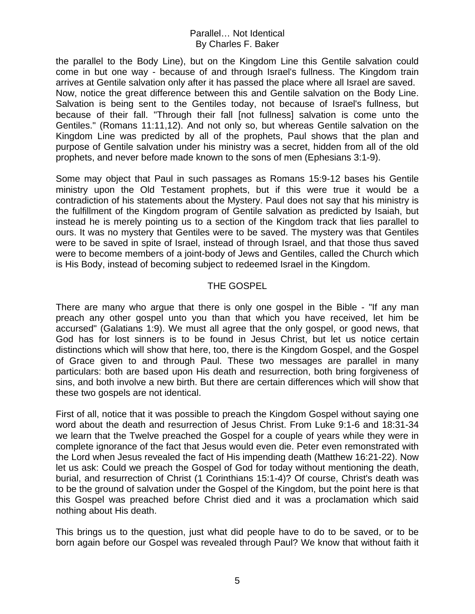the parallel to the Body Line), but on the Kingdom Line this Gentile salvation could come in but one way - because of and through Israel's fullness. The Kingdom train arrives at Gentile salvation only after it has passed the place where all Israel are saved. Now, notice the great difference between this and Gentile salvation on the Body Line. Salvation is being sent to the Gentiles today, not because of Israel's fullness, but because of their fall. "Through their fall [not fullness] salvation is come unto the Gentiles." (Romans 11:11,12). And not only so, but whereas Gentile salvation on the Kingdom Line was predicted by all of the prophets, Paul shows that the plan and purpose of Gentile salvation under his ministry was a secret, hidden from all of the old prophets, and never before made known to the sons of men (Ephesians 3:1-9).

Some may object that Paul in such passages as Romans 15:9-12 bases his Gentile ministry upon the Old Testament prophets, but if this were true it would be a contradiction of his statements about the Mystery. Paul does not say that his ministry is the fulfillment of the Kingdom program of Gentile salvation as predicted by Isaiah, but instead he is merely pointing us to a section of the Kingdom track that lies parallel to ours. It was no mystery that Gentiles were to be saved. The mystery was that Gentiles were to be saved in spite of Israel, instead of through Israel, and that those thus saved were to become members of a joint-body of Jews and Gentiles, called the Church which is His Body, instead of becoming subject to redeemed Israel in the Kingdom.

# THE GOSPEL

There are many who argue that there is only one gospel in the Bible - "If any man preach any other gospel unto you than that which you have received, let him be accursed" (Galatians 1:9). We must all agree that the only gospel, or good news, that God has for lost sinners is to be found in Jesus Christ, but let us notice certain distinctions which will show that here, too, there is the Kingdom Gospel, and the Gospel of Grace given to and through Paul. These two messages are parallel in many particulars: both are based upon His death and resurrection, both bring forgiveness of sins, and both involve a new birth. But there are certain differences which will show that these two gospels are not identical.

First of all, notice that it was possible to preach the Kingdom Gospel without saying one word about the death and resurrection of Jesus Christ. From Luke 9:1-6 and 18:31-34 we learn that the Twelve preached the Gospel for a couple of years while they were in complete ignorance of the fact that Jesus would even die. Peter even remonstrated with the Lord when Jesus revealed the fact of His impending death (Matthew 16:21-22). Now let us ask: Could we preach the Gospel of God for today without mentioning the death, burial, and resurrection of Christ (1 Corinthians 15:1-4)? Of course, Christ's death was to be the ground of salvation under the Gospel of the Kingdom, but the point here is that this Gospel was preached before Christ died and it was a proclamation which said nothing about His death.

This brings us to the question, just what did people have to do to be saved, or to be born again before our Gospel was revealed through Paul? We know that without faith it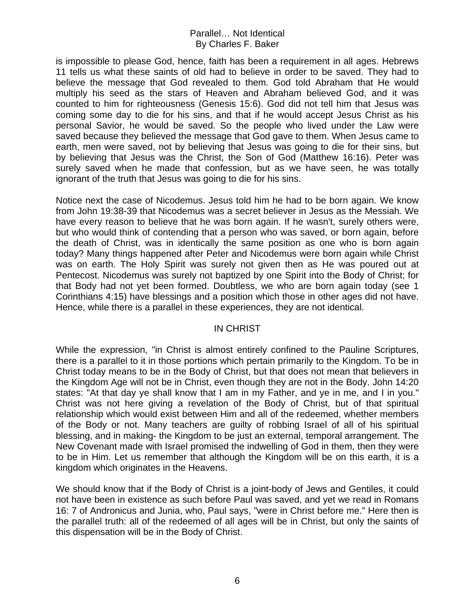is impossible to please God, hence, faith has been a requirement in all ages. Hebrews 11 tells us what these saints of old had to believe in order to be saved. They had to believe the message that God revealed to them. God told Abraham that He would multiply his seed as the stars of Heaven and Abraham believed God, and it was counted to him for righteousness (Genesis 15:6). God did not tell him that Jesus was coming some day to die for his sins, and that if he would accept Jesus Christ as his personal Savior, he would be saved. So the people who lived under the Law were saved because they believed the message that God gave to them. When Jesus came to earth, men were saved, not by believing that Jesus was going to die for their sins, but by believing that Jesus was the Christ, the Son of God (Matthew 16:16). Peter was surely saved when he made that confession, but as we have seen, he was totally ignorant of the truth that Jesus was going to die for his sins.

Notice next the case of Nicodemus. Jesus told him he had to be born again. We know from John 19:38-39 that Nicodemus was a secret believer in Jesus as the Messiah. We have every reason to believe that he was born again. If he wasn't, surely others were, but who would think of contending that a person who was saved, or born again, before the death of Christ, was in identically the same position as one who is born again today? Many things happened after Peter and Nicodemus were born again while Christ was on earth. The Holy Spirit was surely not given then as He was poured out at Pentecost. Nicodemus was surely not baptized by one Spirit into the Body of Christ; for that Body had not yet been formed. Doubtless, we who are born again today (see 1 Corinthians 4:15) have blessings and a position which those in other ages did not have. Hence, while there is a parallel in these experiences, they are not identical.

### IN CHRIST

While the expression, "in Christ is almost entirely confined to the Pauline Scriptures, there is a parallel to it in those portions which pertain primarily to the Kingdom. To be in Christ today means to be in the Body of Christ, but that does not mean that believers in the Kingdom Age will not be in Christ, even though they are not in the Body. John 14:20 states: "At that day ye shall know that I am in my Father, and ye in me, and I in you." Christ was not here giving a revelation of the Body of Christ, but of that spiritual relationship which would exist between Him and all of the redeemed, whether members of the Body or not. Many teachers are guilty of robbing Israel of all of his spiritual blessing, and in making- the Kingdom to be just an external, temporal arrangement. The New Covenant made with Israel promised the indwelling of God in them, then they were to be in Him. Let us remember that although the Kingdom will be on this earth, it is a kingdom which originates in the Heavens.

We should know that if the Body of Christ is a joint-body of Jews and Gentiles, it could not have been in existence as such before Paul was saved, and yet we read in Romans 16: 7 of Andronicus and Junia, who, Paul says, "were in Christ before me." Here then is the parallel truth: all of the redeemed of all ages will be in Christ, but only the saints of this dispensation will be in the Body of Christ.